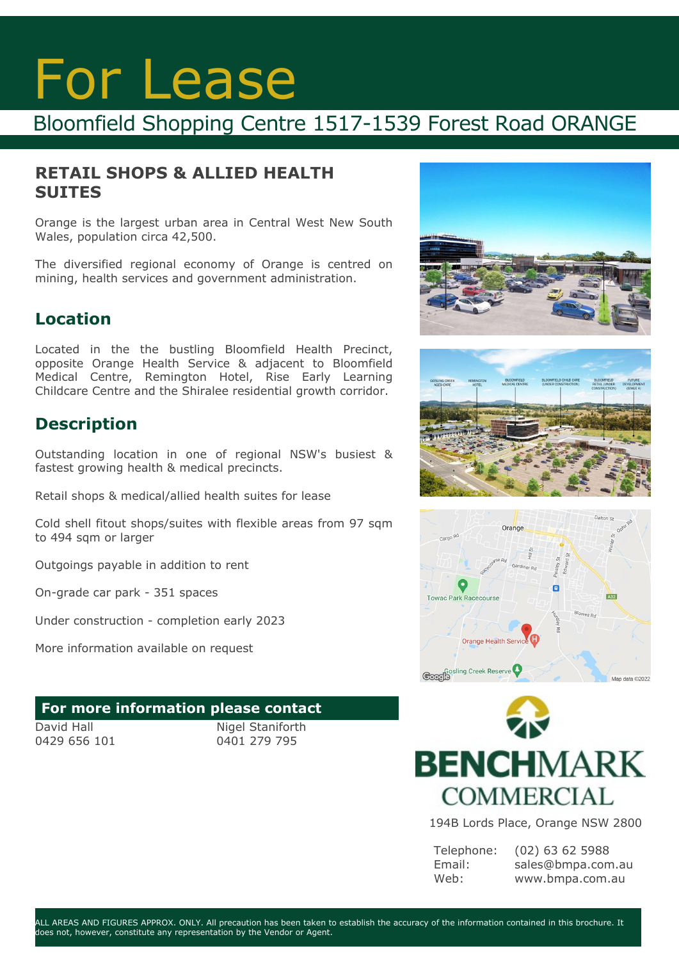# For Lease

## Bloomfield Shopping Centre 1517-1539 Forest Road ORANGE

#### **RETAIL SHOPS & ALLIED HEALTH SUITES**

Orange is the largest urban area in Central West New South Wales, population circa 42,500.

The diversified regional economy of Orange is centred on mining, health services and government administration.

### **Location**

Located in the the bustling Bloomfield Health Precinct, opposite Orange Health Service & adjacent to Bloomfield Medical Centre, Remington Hotel, Rise Early Learning Childcare Centre and the Shiralee residential growth corridor.

### **Description**

Outstanding location in one of regional NSW's busiest & fastest growing health & medical precincts.

Retail shops & medical/allied health suites for lease

Cold shell fitout shops/suites with flexible areas from 97 sqm to 494 sqm or larger

Outgoings payable in addition to rent

On-grade car park - 351 spaces

Under construction - completion early 2023

More information available on request

#### **For more information please contact**

David Hall 0429 656 101

Nigel Staniforth 0401 279 795









194B Lords Place, Orange NSW 2800

Telephone: Email: Web:

(02) 63 62 5988 sales@bmpa.com.au www.bmpa.com.au